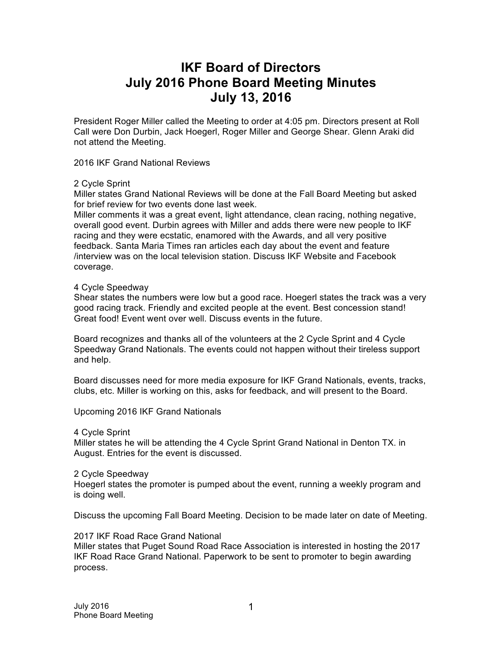# **IKF Board of Directors July 2016 Phone Board Meeting Minutes July 13, 2016**

President Roger Miller called the Meeting to order at 4:05 pm. Directors present at Roll Call were Don Durbin, Jack Hoegerl, Roger Miller and George Shear. Glenn Araki did not attend the Meeting.

2016 IKF Grand National Reviews

### 2 Cycle Sprint

Miller states Grand National Reviews will be done at the Fall Board Meeting but asked for brief review for two events done last week.

Miller comments it was a great event, light attendance, clean racing, nothing negative, overall good event. Durbin agrees with Miller and adds there were new people to IKF racing and they were ecstatic, enamored with the Awards, and all very positive feedback. Santa Maria Times ran articles each day about the event and feature /interview was on the local television station. Discuss IKF Website and Facebook coverage.

### 4 Cycle Speedway

Shear states the numbers were low but a good race. Hoegerl states the track was a very good racing track. Friendly and excited people at the event. Best concession stand! Great food! Event went over well. Discuss events in the future.

Board recognizes and thanks all of the volunteers at the 2 Cycle Sprint and 4 Cycle Speedway Grand Nationals. The events could not happen without their tireless support and help.

Board discusses need for more media exposure for IKF Grand Nationals, events, tracks, clubs, etc. Miller is working on this, asks for feedback, and will present to the Board.

Upcoming 2016 IKF Grand Nationals

4 Cycle Sprint

Miller states he will be attending the 4 Cycle Sprint Grand National in Denton TX. in August. Entries for the event is discussed.

# 2 Cycle Speedway

Hoegerl states the promoter is pumped about the event, running a weekly program and is doing well.

Discuss the upcoming Fall Board Meeting. Decision to be made later on date of Meeting.

# 2017 IKF Road Race Grand National

Miller states that Puget Sound Road Race Association is interested in hosting the 2017 IKF Road Race Grand National. Paperwork to be sent to promoter to begin awarding process.